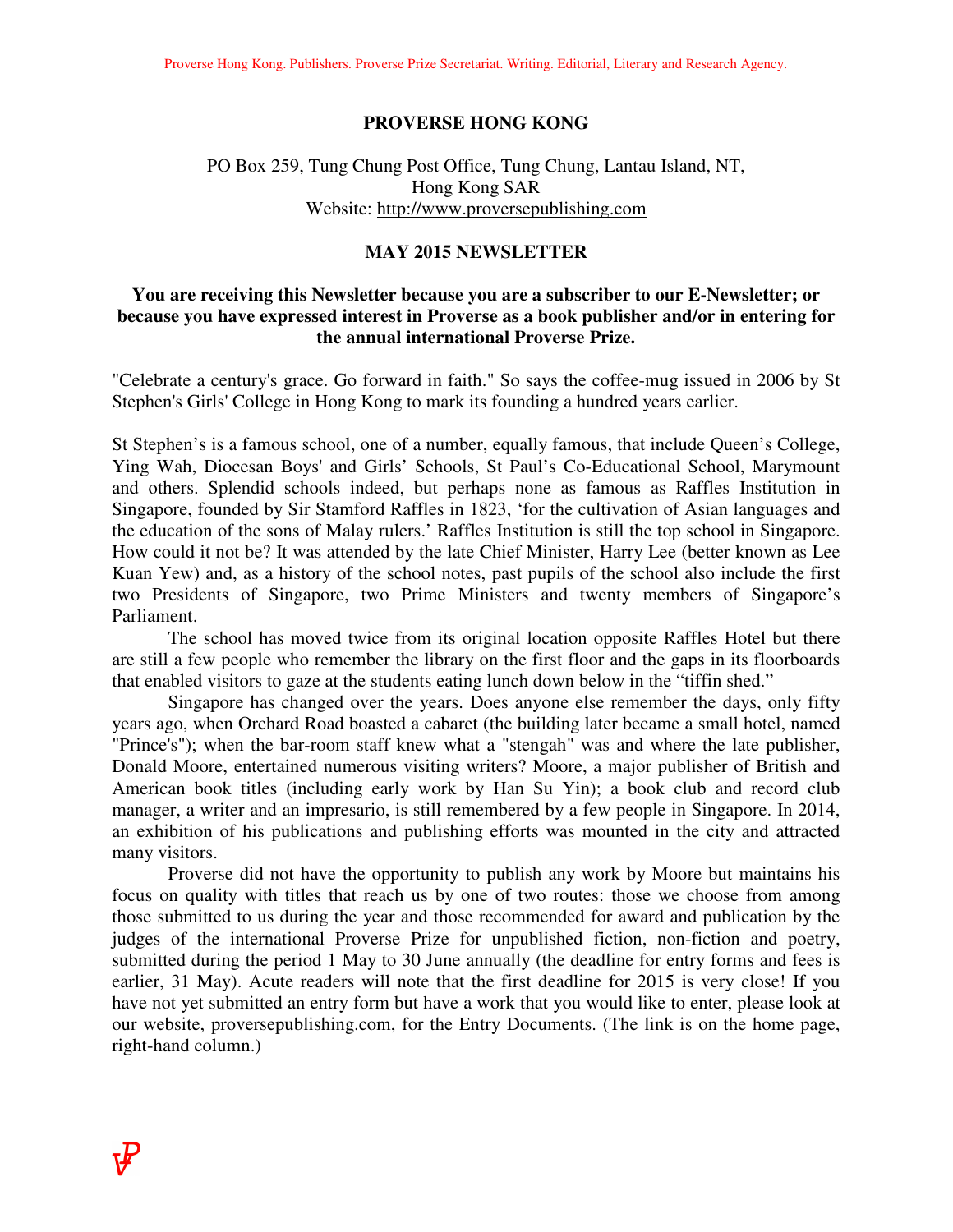#### **PROVERSE HONG KONG**

## PO Box 259, Tung Chung Post Office, Tung Chung, Lantau Island, NT, Hong Kong SAR Website: http://www.proversepublishing.com

#### **MAY 2015 NEWSLETTER**

## **You are receiving this Newsletter because you are a subscriber to our E-Newsletter; or because you have expressed interest in Proverse as a book publisher and/or in entering for the annual international Proverse Prize.**

"Celebrate a century's grace. Go forward in faith." So says the coffee-mug issued in 2006 by St Stephen's Girls' College in Hong Kong to mark its founding a hundred years earlier.

St Stephen's is a famous school, one of a number, equally famous, that include Queen's College, Ying Wah, Diocesan Boys' and Girls' Schools, St Paul's Co-Educational School, Marymount and others. Splendid schools indeed, but perhaps none as famous as Raffles Institution in Singapore, founded by Sir Stamford Raffles in 1823, 'for the cultivation of Asian languages and the education of the sons of Malay rulers.' Raffles Institution is still the top school in Singapore. How could it not be? It was attended by the late Chief Minister, Harry Lee (better known as Lee Kuan Yew) and, as a history of the school notes, past pupils of the school also include the first two Presidents of Singapore, two Prime Ministers and twenty members of Singapore's Parliament.

 The school has moved twice from its original location opposite Raffles Hotel but there are still a few people who remember the library on the first floor and the gaps in its floorboards that enabled visitors to gaze at the students eating lunch down below in the "tiffin shed."

 Singapore has changed over the years. Does anyone else remember the days, only fifty years ago, when Orchard Road boasted a cabaret (the building later became a small hotel, named "Prince's"); when the bar-room staff knew what a "stengah" was and where the late publisher, Donald Moore, entertained numerous visiting writers? Moore, a major publisher of British and American book titles (including early work by Han Su Yin); a book club and record club manager, a writer and an impresario, is still remembered by a few people in Singapore. In 2014, an exhibition of his publications and publishing efforts was mounted in the city and attracted many visitors.

 Proverse did not have the opportunity to publish any work by Moore but maintains his focus on quality with titles that reach us by one of two routes: those we choose from among those submitted to us during the year and those recommended for award and publication by the judges of the international Proverse Prize for unpublished fiction, non-fiction and poetry, submitted during the period 1 May to 30 June annually (the deadline for entry forms and fees is earlier, 31 May). Acute readers will note that the first deadline for 2015 is very close! If you have not yet submitted an entry form but have a work that you would like to enter, please look at our website, proversepublishing.com, for the Entry Documents. (The link is on the home page, right-hand column.)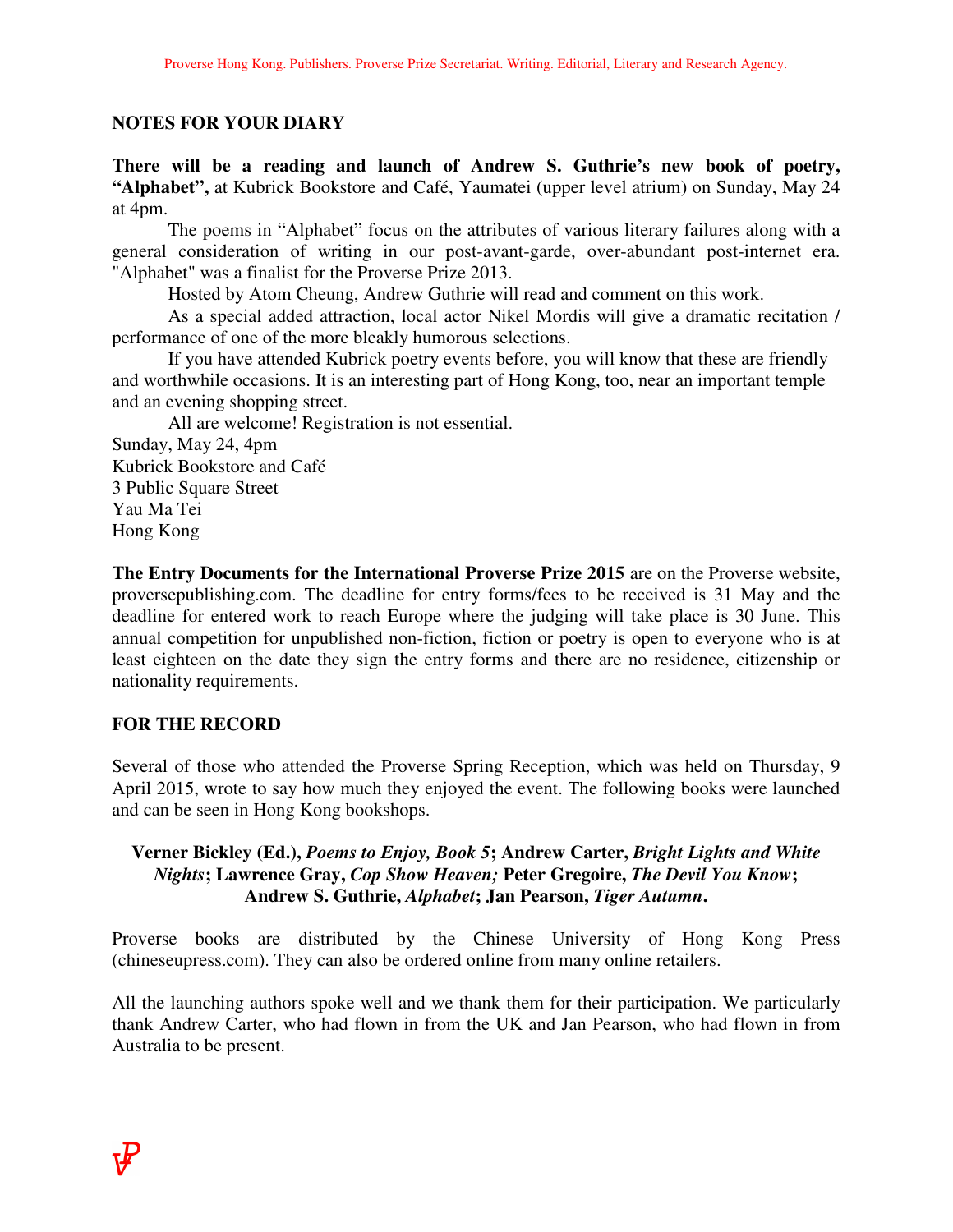# **NOTES FOR YOUR DIARY**

**There will be a reading and launch of Andrew S. Guthrie's new book of poetry, "Alphabet",** at Kubrick Bookstore and Café, Yaumatei (upper level atrium) on Sunday, May 24 at 4pm.

 The poems in "Alphabet" focus on the attributes of various literary failures along with a general consideration of writing in our post-avant-garde, over-abundant post-internet era. "Alphabet" was a finalist for the Proverse Prize 2013.

Hosted by Atom Cheung, Andrew Guthrie will read and comment on this work.

 As a special added attraction, local actor Nikel Mordis will give a dramatic recitation / performance of one of the more bleakly humorous selections.

 If you have attended Kubrick poetry events before, you will know that these are friendly and worthwhile occasions. It is an interesting part of Hong Kong, too, near an important temple and an evening shopping street.

 All are welcome! Registration is not essential. Sunday, May 24, 4pm

Kubrick Bookstore and Café 3 Public Square Street Yau Ma Tei Hong Kong

**The Entry Documents for the International Proverse Prize 2015** are on the Proverse website, proversepublishing.com. The deadline for entry forms/fees to be received is 31 May and the deadline for entered work to reach Europe where the judging will take place is 30 June. This annual competition for unpublished non-fiction, fiction or poetry is open to everyone who is at least eighteen on the date they sign the entry forms and there are no residence, citizenship or nationality requirements.

## **FOR THE RECORD**

Several of those who attended the Proverse Spring Reception, which was held on Thursday, 9 April 2015, wrote to say how much they enjoyed the event. The following books were launched and can be seen in Hong Kong bookshops.

# **Verner Bickley (Ed.),** *Poems to Enjoy, Book 5***; Andrew Carter,** *Bright Lights and White Nights***; Lawrence Gray,** *Cop Show Heaven;* **Peter Gregoire,** *The Devil You Know***; Andrew S. Guthrie,** *Alphabet***; Jan Pearson,** *Tiger Autumn***.**

Proverse books are distributed by the Chinese University of Hong Kong Press (chineseupress.com). They can also be ordered online from many online retailers.

All the launching authors spoke well and we thank them for their participation. We particularly thank Andrew Carter, who had flown in from the UK and Jan Pearson, who had flown in from Australia to be present.